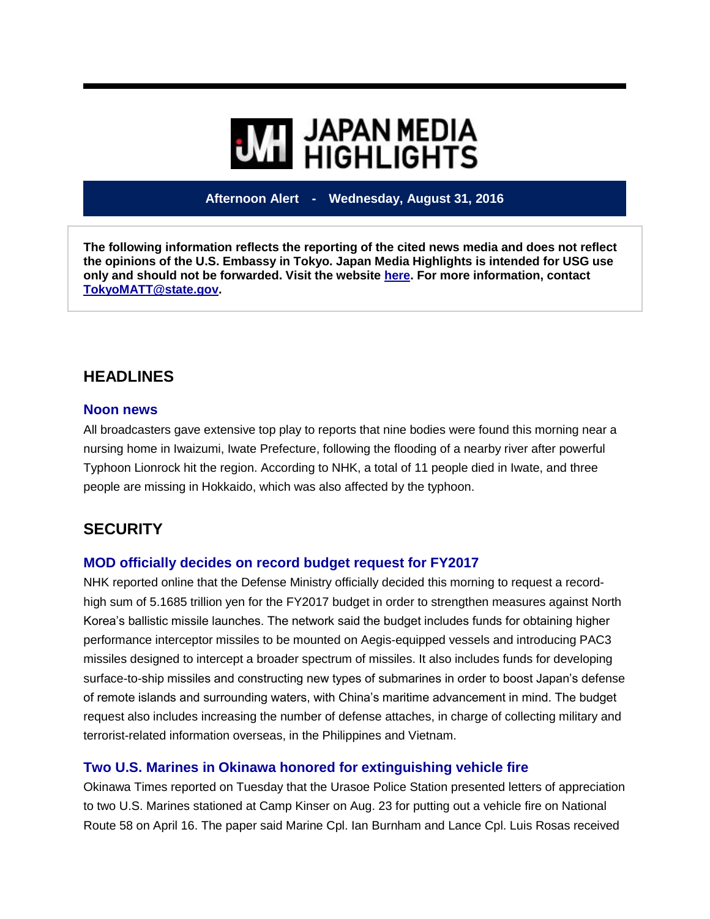# **WE HIGHLIGHTS**

#### **Afternoon Alert - Wednesday, August 31, 2016**

**The following information reflects the reporting of the cited news media and does not reflect the opinions of the U.S. Embassy in Tokyo. Japan Media Highlights is intended for USG use only and should not be forwarded. Visit the website [here.](https://jmh.usembassy.gov/) For more information, contact [TokyoMATT@state.gov.](mailto:TokyoMATT@state.gov)**

#### **HEADLINES**

#### **Noon news**

All broadcasters gave extensive top play to reports that nine bodies were found this morning near a nursing home in Iwaizumi, Iwate Prefecture, following the flooding of a nearby river after powerful Typhoon Lionrock hit the region. According to NHK, a total of 11 people died in Iwate, and three people are missing in Hokkaido, which was also affected by the typhoon.

### **SECURITY**

#### **MOD officially decides on record budget request for FY2017**

NHK reported online that the Defense Ministry officially decided this morning to request a recordhigh sum of 5.1685 trillion yen for the FY2017 budget in order to strengthen measures against North Korea's ballistic missile launches. The network said the budget includes funds for obtaining higher performance interceptor missiles to be mounted on Aegis-equipped vessels and introducing PAC3 missiles designed to intercept a broader spectrum of missiles. It also includes funds for developing surface-to-ship missiles and constructing new types of submarines in order to boost Japan's defense of remote islands and surrounding waters, with China's maritime advancement in mind. The budget request also includes increasing the number of defense attaches, in charge of collecting military and terrorist-related information overseas, in the Philippines and Vietnam.

#### **Two U.S. Marines in Okinawa honored for extinguishing vehicle fire**

Okinawa Times reported on Tuesday that the Urasoe Police Station presented letters of appreciation to two U.S. Marines stationed at Camp Kinser on Aug. 23 for putting out a vehicle fire on National Route 58 on April 16. The paper said Marine Cpl. Ian Burnham and Lance Cpl. Luis Rosas received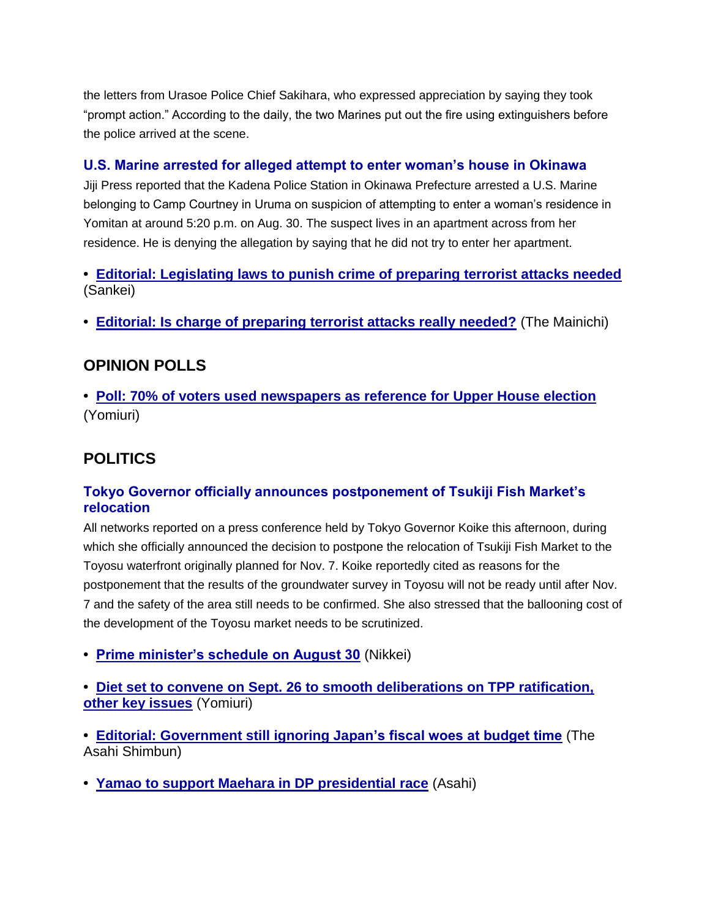the letters from Urasoe Police Chief Sakihara, who expressed appreciation by saying they took "prompt action." According to the daily, the two Marines put out the fire using extinguishers before the police arrived at the scene.

#### **U.S. Marine arrested for alleged attempt to enter woman's house in Okinawa**

Jiji Press reported that the Kadena Police Station in Okinawa Prefecture arrested a U.S. Marine belonging to Camp Courtney in Uruma on suspicion of attempting to enter a woman's residence in Yomitan at around 5:20 p.m. on Aug. 30. The suspect lives in an apartment across from her residence. He is denying the allegation by saying that he did not try to enter her apartment.

**• [Editorial: Legislating laws to punish crime of preparing terrorist attacks needed](https://jmh.usembassy.gov/201608315171/)** (Sankei)

**• [Editorial: Is charge of preparing terrorist attacks really needed?](https://jmh.usembassy.gov/201608315173/)** (The Mainichi)

## **OPINION POLLS**

**• [Poll: 70% of voters used newspapers as reference for Upper House election](https://jmh.usembassy.gov/201608315177/)** (Yomiuri)

# **POLITICS**

#### **Tokyo Governor officially announces postponement of Tsukiji Fish Market's relocation**

All networks reported on a press conference held by Tokyo Governor Koike this afternoon, during which she officially announced the decision to postpone the relocation of Tsukiji Fish Market to the Toyosu waterfront originally planned for Nov. 7. Koike reportedly cited as reasons for the postponement that the results of the groundwater survey in Toyosu will not be ready until after Nov. 7 and the safety of the area still needs to be confirmed. She also stressed that the ballooning cost of the development of the Toyosu market needs to be scrutinized.

- **• [Prime minister's schedule on August 30](https://jmh.usembassy.gov/201608315120/)** (Nikkei)
- **• [Diet set to convene on Sept. 26 to smooth deliberations on TPP ratification,](https://jmh.usembassy.gov/201608315159/)  [other key issues](https://jmh.usembassy.gov/201608315159/)** (Yomiuri)

**• [Editorial: Government still ignoring Japan's fiscal woes at budget time](https://jmh.usembassy.gov/201608315164/)** (The Asahi Shimbun)

**• [Yamao to support Maehara in DP presidential race](https://jmh.usembassy.gov/201608315158/)** (Asahi)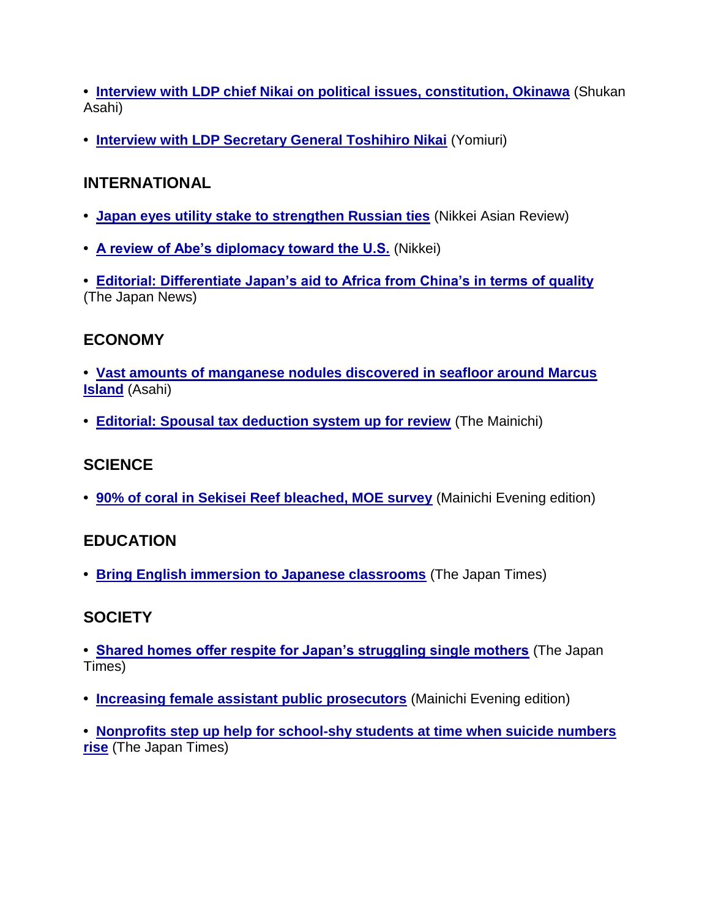**• [Interview with LDP chief Nikai on political issues, constitution, Okinawa](https://jmh.usembassy.gov/201608315147/)** (Shukan Asahi)

**• [Interview with LDP Secretary General Toshihiro Nikai](https://jmh.usembassy.gov/201608315119/)** (Yomiuri)

# **INTERNATIONAL**

- **• [Japan eyes utility stake to strengthen Russian ties](https://jmh.usembassy.gov/201608315149/)** (Nikkei Asian Review)
- **• [A review of Abe's diplomacy toward the U.S.](https://jmh.usembassy.gov/201608315175/)** (Nikkei)
- **• [Editorial: Differentiate Japan's aid to Africa from China's in terms of quality](https://jmh.usembassy.gov/201608315139/)** (The Japan News)

# **ECONOMY**

- **• [Vast amounts of manganese nodules discovered in seafloor around Marcus](https://jmh.usembassy.gov/201608315118/)  [Island](https://jmh.usembassy.gov/201608315118/)** (Asahi)
- **• [Editorial: Spousal tax deduction system up for review](https://jmh.usembassy.gov/201608315174/)** (The Mainichi)

# **SCIENCE**

**• [90% of coral in Sekisei Reef bleached, MOE survey](https://jmh.usembassy.gov/201608315161/)** (Mainichi Evening edition)

## **EDUCATION**

**• [Bring English immersion to Japanese classrooms](https://jmh.usembassy.gov/201608315145/)** (The Japan Times)

# **SOCIETY**

**• [Shared homes offer respite for Japan's struggling single mothers](https://jmh.usembassy.gov/201608315146/)** (The Japan Times)

**• [Increasing female assistant public prosecutors](https://jmh.usembassy.gov/201608315135/)** (Mainichi Evening edition)

**• [Nonprofits step up help for school-shy students at time when suicide numbers](https://jmh.usembassy.gov/201608315116/)  [rise](https://jmh.usembassy.gov/201608315116/)** (The Japan Times)